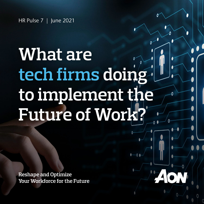## **What are tech firms doing to implement the Future of Work?**

**Reshape and Optimize Your Workforce for the Future**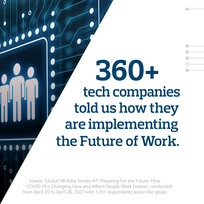**360+ tech companies told us how they are implementing the Future of Work.**

Source: Global HR Pulse Survey #7: Preparing For the Future: How COVID-19 is Changing How and Where People Work Forever, conducted from April 20 to April 28, 2021 with 1,451 respondents across the globe.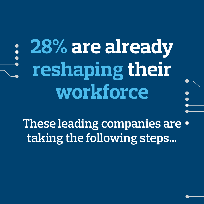# **28% are already reshaping their workforce**

**These leading companies are taking the following steps…**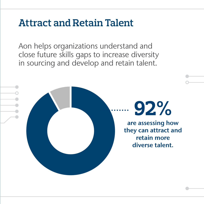#### **Attract and Retain Talent**

Aon helps organizations understand and close future skills gaps to increase diversity in sourcing and develop and retain talent.

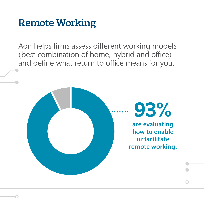#### **Remote Working**

Aon helps firms assess different working models (best combination of home, hybrid and office) and define what return to office means for you.

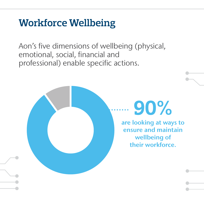#### **Workforce Wellbeing**

Aon's five dimensions of wellbeing (physical, emotional, social, financial and professional) enable specific actions.

### **90%**

are looking at ways to ensure and maintain wellbeing of their workforce.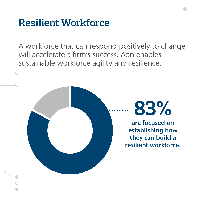#### **Resilient Workforce**

A workforce that can respond positively to change will accelerate a firm's success. Aon enables sustainable workforce agility and resilience.